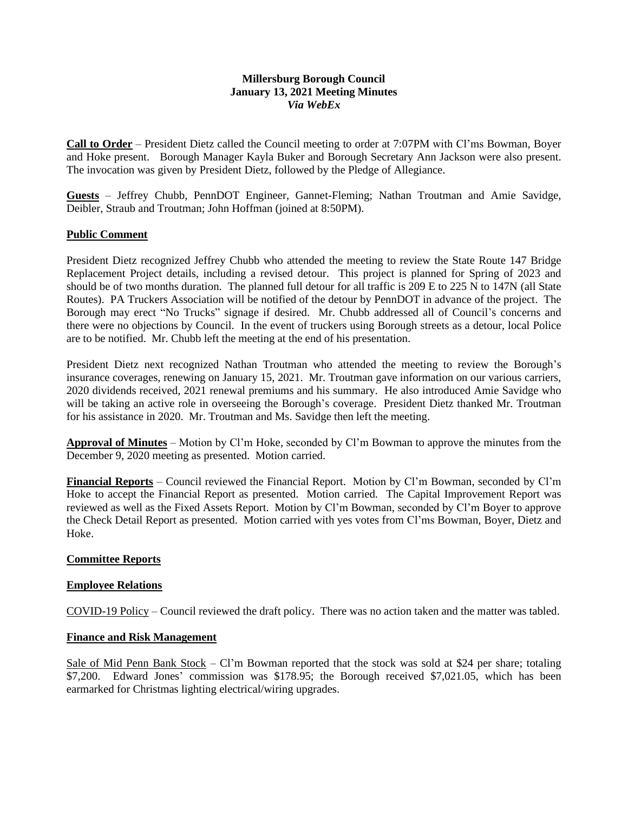## **Millersburg Borough Council January 13, 2021 Meeting Minutes** *Via WebEx*

**Call to Order** – President Dietz called the Council meeting to order at 7:07PM with Cl'ms Bowman, Boyer and Hoke present. Borough Manager Kayla Buker and Borough Secretary Ann Jackson were also present. The invocation was given by President Dietz, followed by the Pledge of Allegiance.

**Guests** – Jeffrey Chubb, PennDOT Engineer, Gannet-Fleming; Nathan Troutman and Amie Savidge, Deibler, Straub and Troutman; John Hoffman (joined at 8:50PM).

### **Public Comment**

President Dietz recognized Jeffrey Chubb who attended the meeting to review the State Route 147 Bridge Replacement Project details, including a revised detour. This project is planned for Spring of 2023 and should be of two months duration. The planned full detour for all traffic is 209 E to 225 N to 147N (all State Routes). PA Truckers Association will be notified of the detour by PennDOT in advance of the project. The Borough may erect "No Trucks" signage if desired. Mr. Chubb addressed all of Council's concerns and there were no objections by Council. In the event of truckers using Borough streets as a detour, local Police are to be notified. Mr. Chubb left the meeting at the end of his presentation.

President Dietz next recognized Nathan Troutman who attended the meeting to review the Borough's insurance coverages, renewing on January 15, 2021. Mr. Troutman gave information on our various carriers, 2020 dividends received, 2021 renewal premiums and his summary. He also introduced Amie Savidge who will be taking an active role in overseeing the Borough's coverage. President Dietz thanked Mr. Troutman for his assistance in 2020. Mr. Troutman and Ms. Savidge then left the meeting.

**Approval of Minutes** – Motion by Cl'm Hoke, seconded by Cl'm Bowman to approve the minutes from the December 9, 2020 meeting as presented. Motion carried.

**Financial Reports** – Council reviewed the Financial Report. Motion by Cl'm Bowman, seconded by Cl'm Hoke to accept the Financial Report as presented. Motion carried. The Capital Improvement Report was reviewed as well as the Fixed Assets Report. Motion by Cl'm Bowman, seconded by Cl'm Boyer to approve the Check Detail Report as presented. Motion carried with yes votes from Cl'ms Bowman, Boyer, Dietz and Hoke.

### **Committee Reports**

### **Employee Relations**

COVID-19 Policy – Council reviewed the draft policy. There was no action taken and the matter was tabled.

## **Finance and Risk Management**

Sale of Mid Penn Bank Stock – Cl'm Bowman reported that the stock was sold at \$24 per share; totaling \$7,200. Edward Jones' commission was \$178.95; the Borough received \$7,021.05, which has been earmarked for Christmas lighting electrical/wiring upgrades.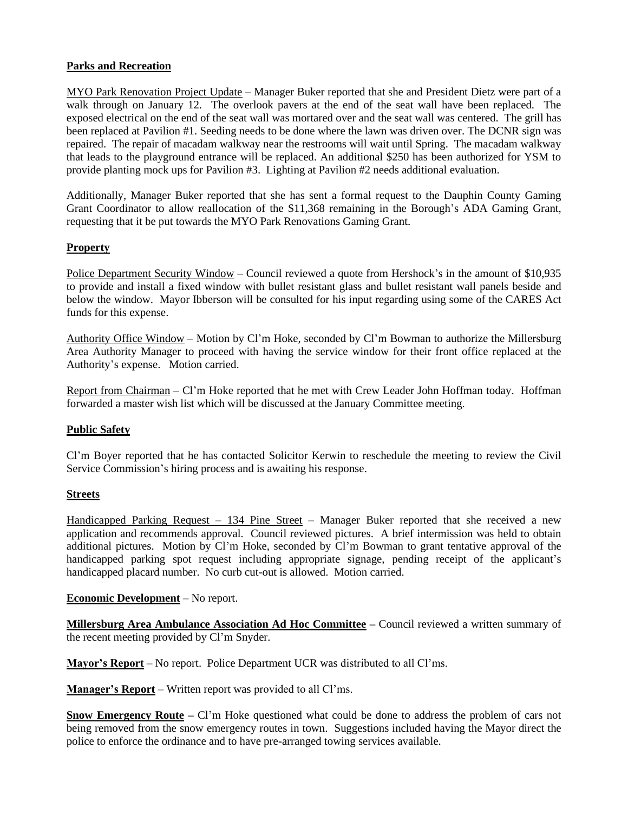## **Parks and Recreation**

MYO Park Renovation Project Update – Manager Buker reported that she and President Dietz were part of a walk through on January 12. The overlook pavers at the end of the seat wall have been replaced. The exposed electrical on the end of the seat wall was mortared over and the seat wall was centered. The grill has been replaced at Pavilion #1. Seeding needs to be done where the lawn was driven over. The DCNR sign was repaired. The repair of macadam walkway near the restrooms will wait until Spring. The macadam walkway that leads to the playground entrance will be replaced. An additional \$250 has been authorized for YSM to provide planting mock ups for Pavilion #3. Lighting at Pavilion #2 needs additional evaluation.

Additionally, Manager Buker reported that she has sent a formal request to the Dauphin County Gaming Grant Coordinator to allow reallocation of the \$11,368 remaining in the Borough's ADA Gaming Grant, requesting that it be put towards the MYO Park Renovations Gaming Grant.

# **Property**

Police Department Security Window – Council reviewed a quote from Hershock's in the amount of \$10,935 to provide and install a fixed window with bullet resistant glass and bullet resistant wall panels beside and below the window. Mayor Ibberson will be consulted for his input regarding using some of the CARES Act funds for this expense.

Authority Office Window – Motion by Cl'm Hoke, seconded by Cl'm Bowman to authorize the Millersburg Area Authority Manager to proceed with having the service window for their front office replaced at the Authority's expense. Motion carried.

Report from Chairman – Cl'm Hoke reported that he met with Crew Leader John Hoffman today. Hoffman forwarded a master wish list which will be discussed at the January Committee meeting.

### **Public Safety**

Cl'm Boyer reported that he has contacted Solicitor Kerwin to reschedule the meeting to review the Civil Service Commission's hiring process and is awaiting his response.

### **Streets**

Handicapped Parking Request - 134 Pine Street - Manager Buker reported that she received a new application and recommends approval. Council reviewed pictures. A brief intermission was held to obtain additional pictures. Motion by Cl'm Hoke, seconded by Cl'm Bowman to grant tentative approval of the handicapped parking spot request including appropriate signage, pending receipt of the applicant's handicapped placard number. No curb cut-out is allowed. Motion carried.

**Economic Development** – No report.

**Millersburg Area Ambulance Association Ad Hoc Committee –** Council reviewed a written summary of the recent meeting provided by Cl'm Snyder.

**Mayor's Report** – No report. Police Department UCR was distributed to all Cl'ms.

**Manager's Report** – Written report was provided to all Cl'ms.

**Snow Emergency Route** – Cl'm Hoke questioned what could be done to address the problem of cars not being removed from the snow emergency routes in town. Suggestions included having the Mayor direct the police to enforce the ordinance and to have pre-arranged towing services available.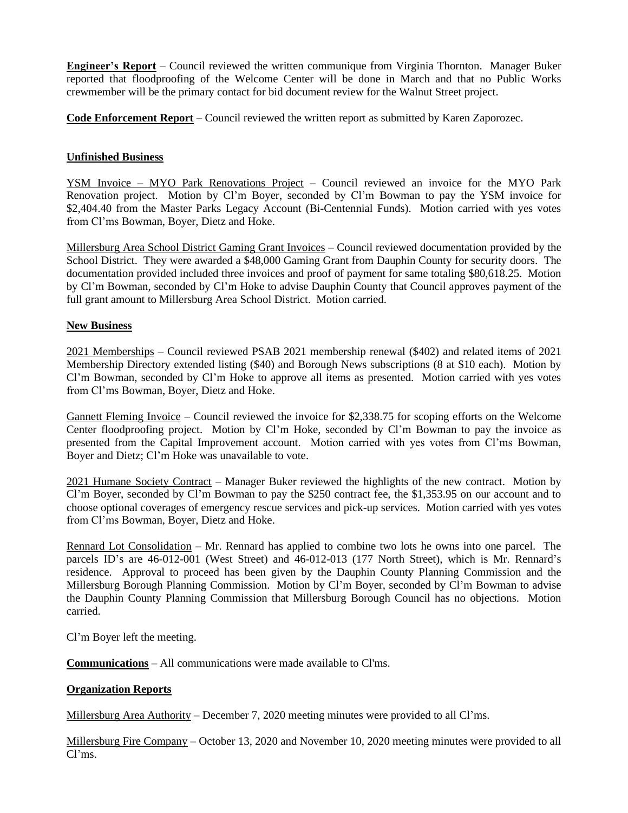**Engineer's Report** – Council reviewed the written communique from Virginia Thornton. Manager Buker reported that floodproofing of the Welcome Center will be done in March and that no Public Works crewmember will be the primary contact for bid document review for the Walnut Street project.

**Code Enforcement Report –** Council reviewed the written report as submitted by Karen Zaporozec.

## **Unfinished Business**

YSM Invoice – MYO Park Renovations Project – Council reviewed an invoice for the MYO Park Renovation project. Motion by Cl'm Boyer, seconded by Cl'm Bowman to pay the YSM invoice for \$2,404.40 from the Master Parks Legacy Account (Bi-Centennial Funds). Motion carried with ves votes from Cl'ms Bowman, Boyer, Dietz and Hoke.

Millersburg Area School District Gaming Grant Invoices – Council reviewed documentation provided by the School District. They were awarded a \$48,000 Gaming Grant from Dauphin County for security doors. The documentation provided included three invoices and proof of payment for same totaling \$80,618.25. Motion by Cl'm Bowman, seconded by Cl'm Hoke to advise Dauphin County that Council approves payment of the full grant amount to Millersburg Area School District. Motion carried.

### **New Business**

2021 Memberships – Council reviewed PSAB 2021 membership renewal (\$402) and related items of 2021 Membership Directory extended listing (\$40) and Borough News subscriptions (8 at \$10 each). Motion by Cl'm Bowman, seconded by Cl'm Hoke to approve all items as presented. Motion carried with yes votes from Cl'ms Bowman, Boyer, Dietz and Hoke.

Gannett Fleming Invoice – Council reviewed the invoice for \$2,338.75 for scoping efforts on the Welcome Center floodproofing project. Motion by Cl'm Hoke, seconded by Cl'm Bowman to pay the invoice as presented from the Capital Improvement account. Motion carried with yes votes from Cl'ms Bowman, Boyer and Dietz; Cl'm Hoke was unavailable to vote.

2021 Humane Society Contract – Manager Buker reviewed the highlights of the new contract. Motion by Cl'm Boyer, seconded by Cl'm Bowman to pay the \$250 contract fee, the \$1,353.95 on our account and to choose optional coverages of emergency rescue services and pick-up services. Motion carried with yes votes from Cl'ms Bowman, Boyer, Dietz and Hoke.

Rennard Lot Consolidation – Mr. Rennard has applied to combine two lots he owns into one parcel. The parcels ID's are 46-012-001 (West Street) and 46-012-013 (177 North Street), which is Mr. Rennard's residence. Approval to proceed has been given by the Dauphin County Planning Commission and the Millersburg Borough Planning Commission. Motion by Cl'm Boyer, seconded by Cl'm Bowman to advise the Dauphin County Planning Commission that Millersburg Borough Council has no objections. Motion carried.

Cl'm Boyer left the meeting.

**Communications** – All communications were made available to Cl'ms.

# **Organization Reports**

Millersburg Area Authority – December 7, 2020 meeting minutes were provided to all Cl'ms.

Millersburg Fire Company – October 13, 2020 and November 10, 2020 meeting minutes were provided to all Cl'ms.